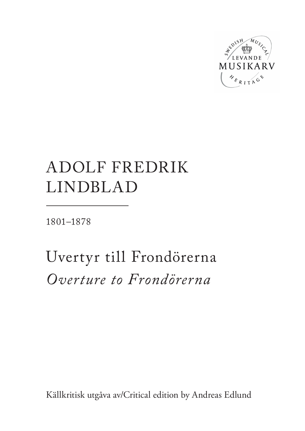

# ADOLF FREDRIK LINDBLAD

1801–1878

Uvertyr till Frondörerna *Overture to Frondörerna*

Källkritisk utgåva av/Critical edition by Andreas Edlund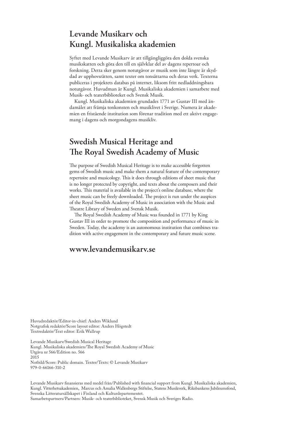## **Levande Musikarv och Kungl. Musikaliska akademien**

Syftet med Levande Musikarv är att tillgängliggöra den dolda svenska musikskatten och göra den till en självklar del av dagens repertoar och forskning. Detta sker genom notutgåvor av musik som inte längre är skyddad av upphovsrätten, samt texter om tonsättarna och deras verk. Texterna publiceras i projektets databas på internet, liksom fritt nedladdningsbara notutgåvor. Huvudman är Kungl. Musikaliska akademien i samarbete med Musik- och teaterbiblioteket och Svensk Musik.

Kungl. Musikaliska akademien grundades 1771 av Gustav III med ändamålet att främja tonkonsten och musiklivet i Sverige. Numera är akademien en fristående institution som förenar tradition med ett aktivt engagemang i dagens och morgondagens musikliv.

## **Swedish Musical Heritage and The Royal Swedish Academy of Music**

The purpose of Swedish Musical Heritage is to make accessible forgotten gems of Swedish music and make them a natural feature of the contemporary repertoire and musicology. This it does through editions of sheet music that is no longer protected by copyright, and texts about the composers and their works. This material is available in the project's online database, where the sheet music can be freely downloaded. The project is run under the auspices of the Royal Swedish Academy of Music in association with the Music and Theatre Library of Sweden and Svensk Musik.

The Royal Swedish Academy of Music was founded in 1771 by King Gustav III in order to promote the composition and performance of music in Sweden. Today, the academy is an autonomous institution that combines tradition with active engagement in the contemporary and future music scene.

#### **www.levandemusikarv.se**

Huvudredaktör/Editor-in-chief: Anders Wiklund Notgrafisk redaktör/Score layout editor: Anders Högstedt Textredaktör/Text editor: Erik Wallrup

Levande Musikarv/Swedish Musical Heritage Kungl. Musikaliska akademien/The Royal Swedish Academy of Music Utgåva nr 566/Edition no. 566 2015 Notbild/Score: Public domain. Texter/Texts: © Levande Musikarv 979-0-66166-310-2

Levande Musikarv finansieras med medel från/Published with financial support from Kungl. Musikaliska akademien, Kungl. Vitterhetsakademien, Marcus och Amalia Wallenbergs Stiftelse, Statens Musikverk, Riksbankens Jubileumsfond, Svenska Litteratursällskapet i Finland och Kulturdepartementet. Samarbetspartners/Partners: Musik- och teaterbiblioteket, Svensk Musik och Sveriges Radio.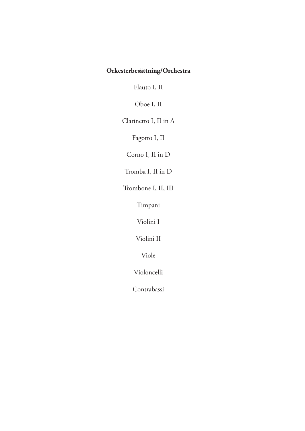## **Orkesterbesättning/Orchestra**

Flauto I, II

Oboe I, II

Clarinetto I, II in A

Fagotto I, II

Corno I, II in D

Tromba I, II in D

Trombone I, II, III

Timpani

Violini I

Violini II

Viole

Violoncelli

Contrabassi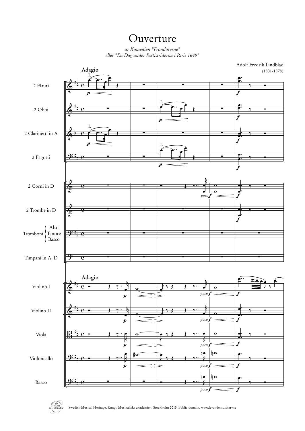## Ouverture

*ur Komedien "Frondörerne" eller "En Dag under Partistriderna i Paris 1649"*





Swedish Musical Heritage, Kungl. Musikaliska akademien, Stockholm 2015. Public domain. www.levandemusikarv.se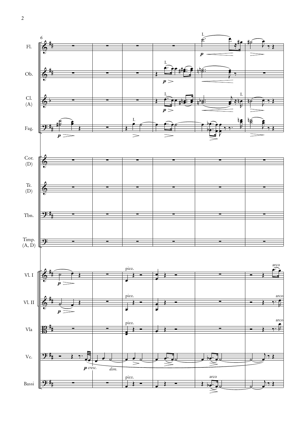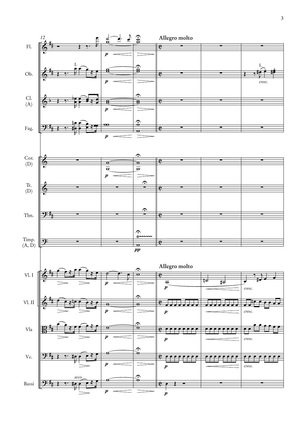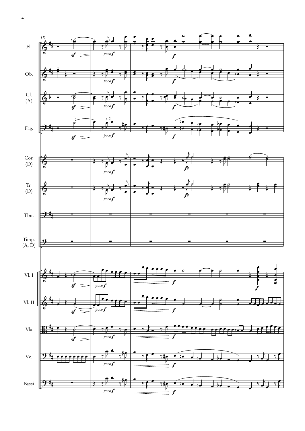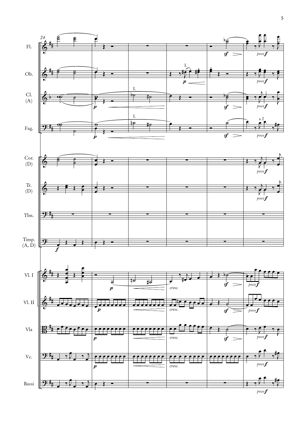

poco $\boldsymbol{f}$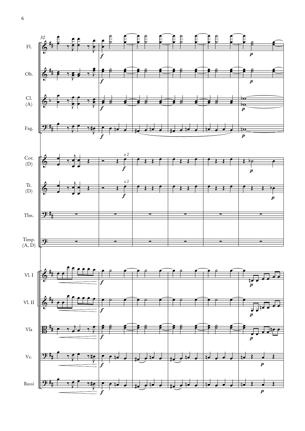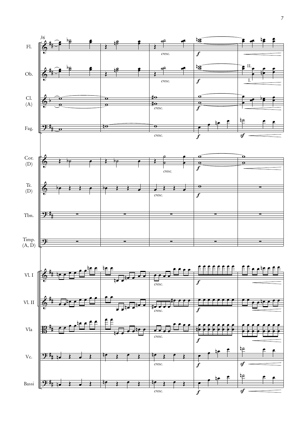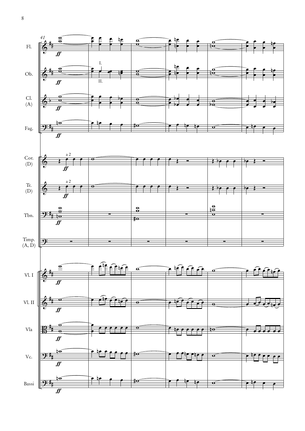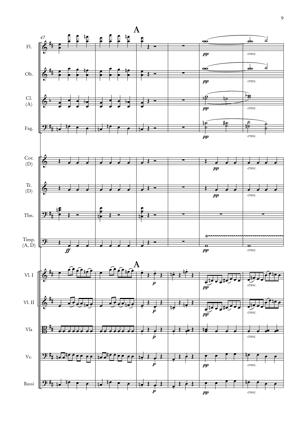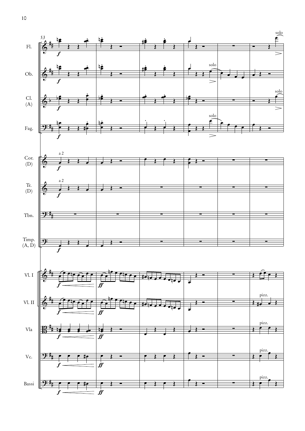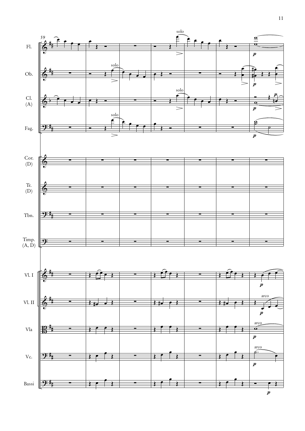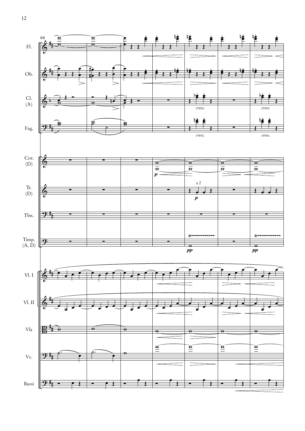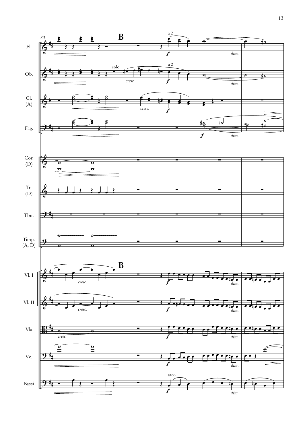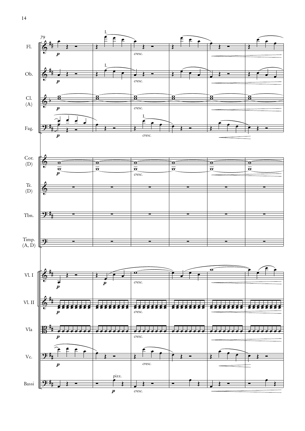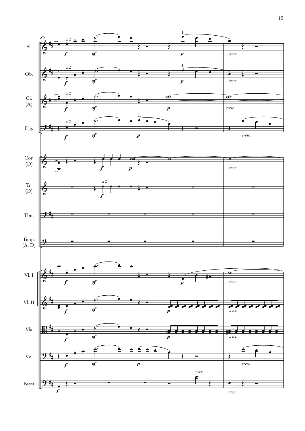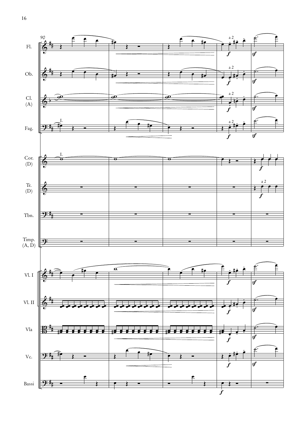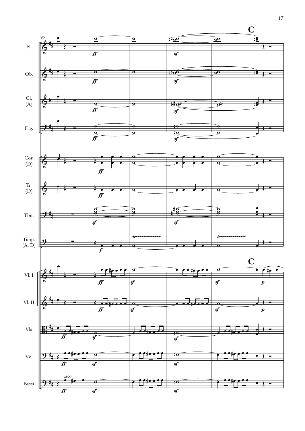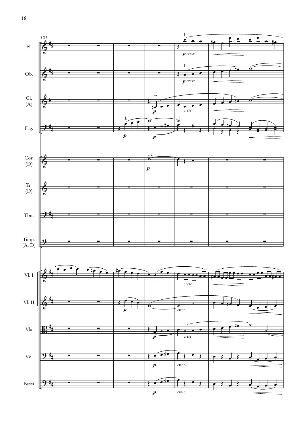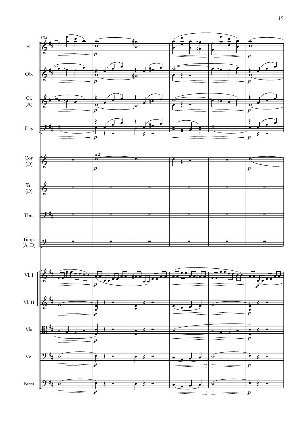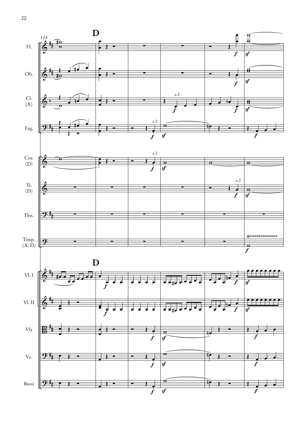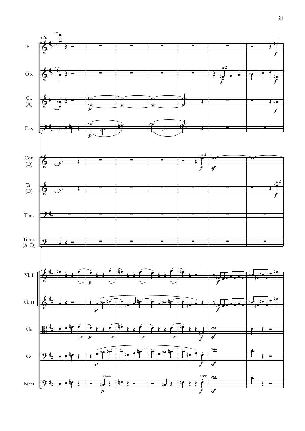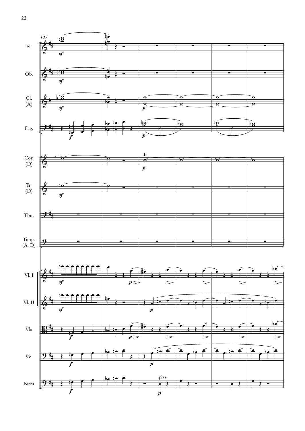![](_page_25_Figure_0.jpeg)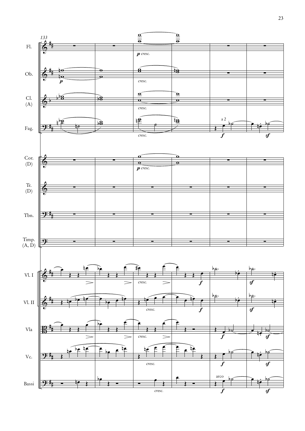![](_page_26_Figure_0.jpeg)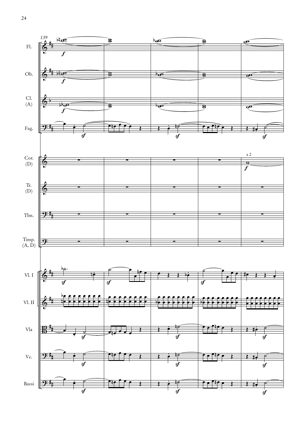![](_page_27_Figure_0.jpeg)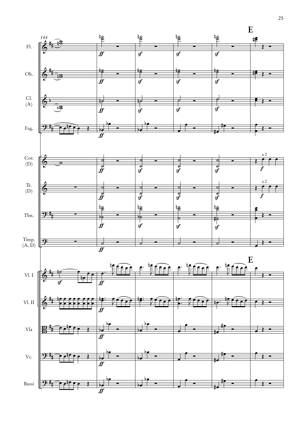![](_page_28_Figure_0.jpeg)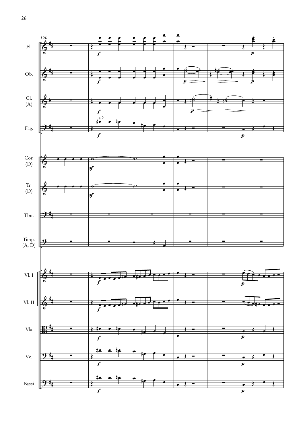![](_page_29_Figure_0.jpeg)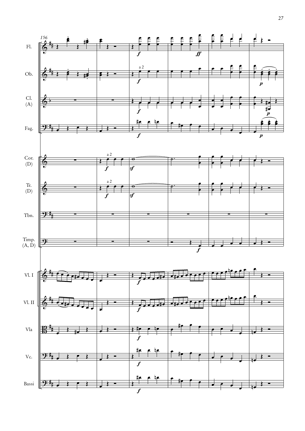![](_page_30_Figure_0.jpeg)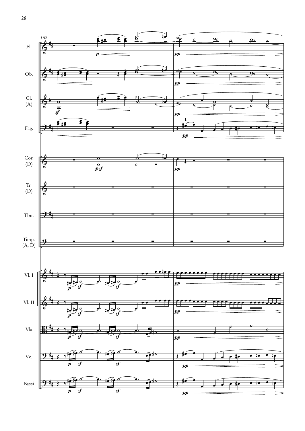![](_page_31_Figure_0.jpeg)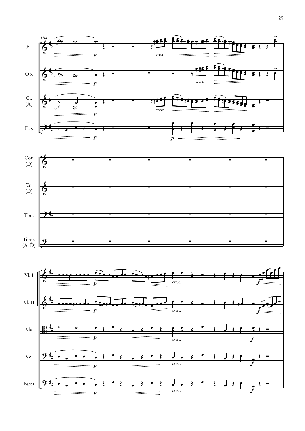![](_page_32_Figure_0.jpeg)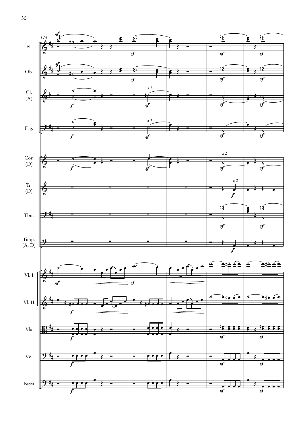![](_page_33_Figure_0.jpeg)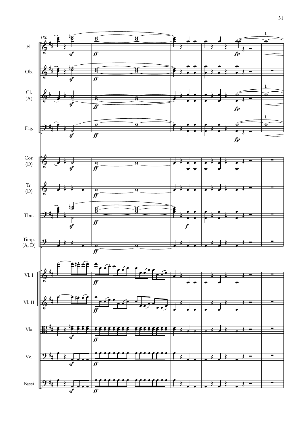![](_page_34_Figure_0.jpeg)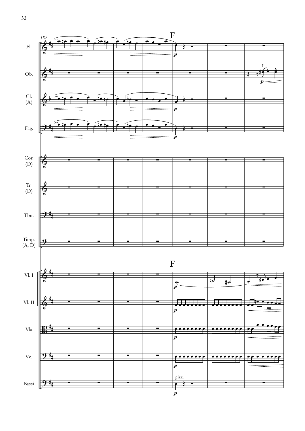![](_page_35_Figure_0.jpeg)

 $\boldsymbol{p}$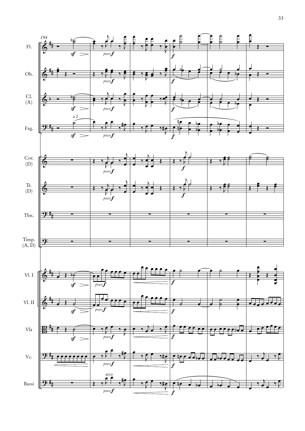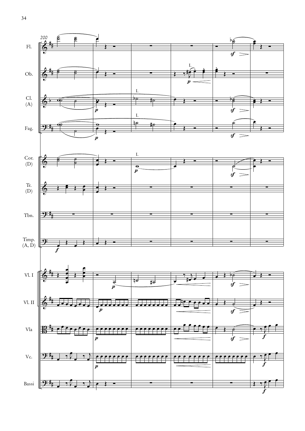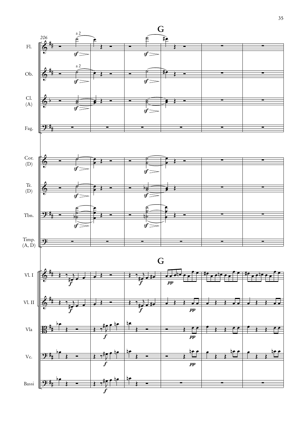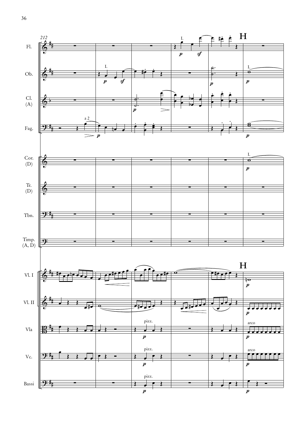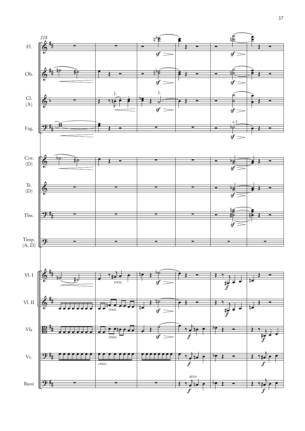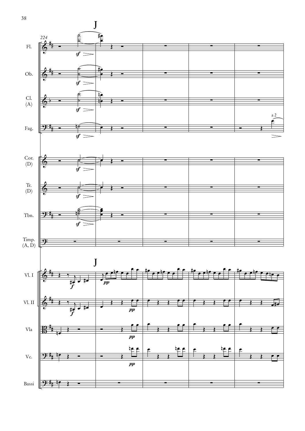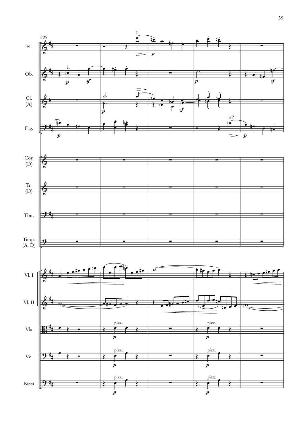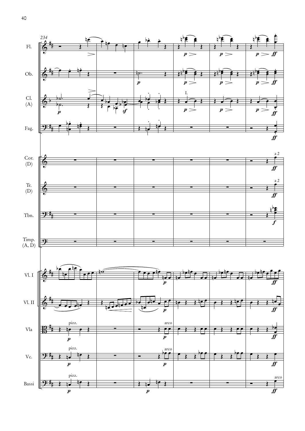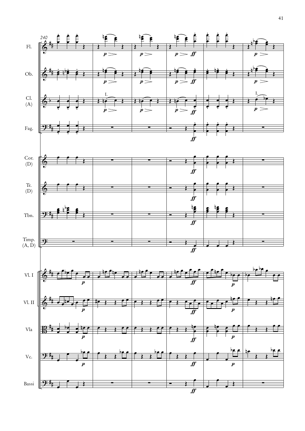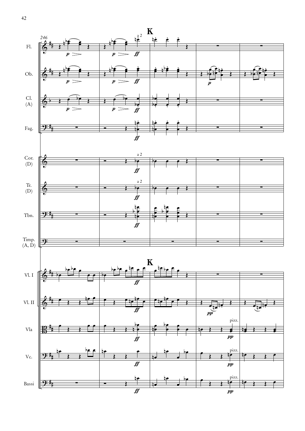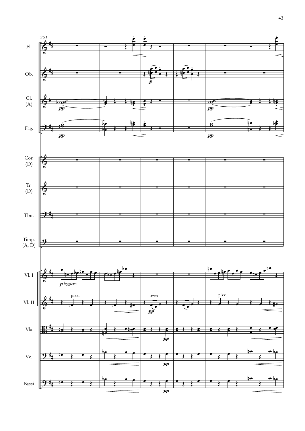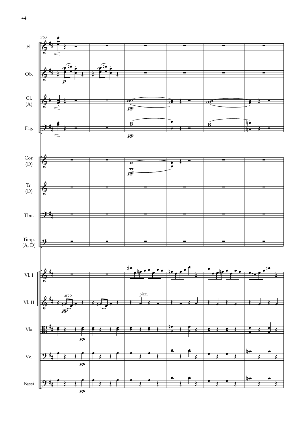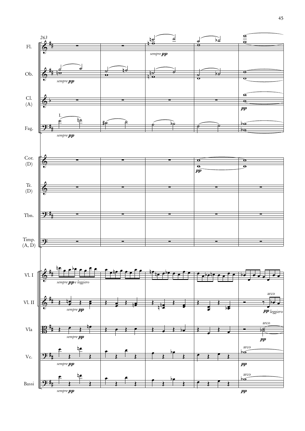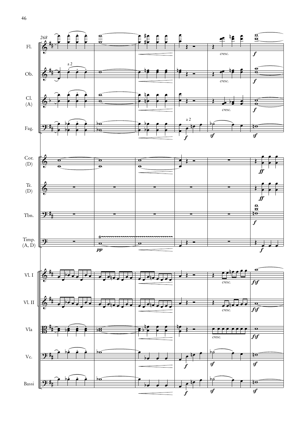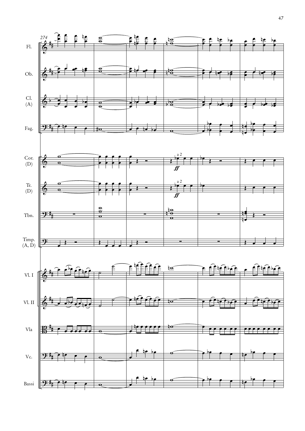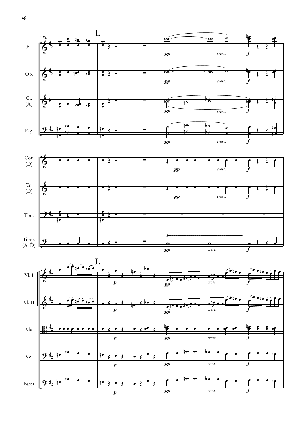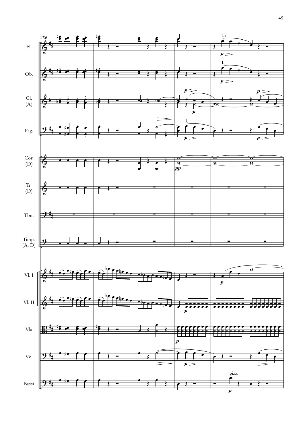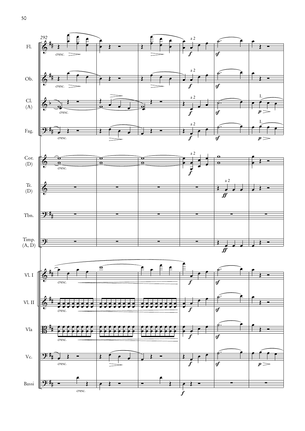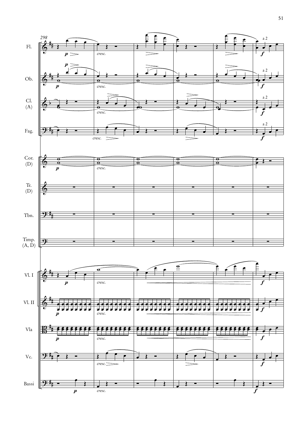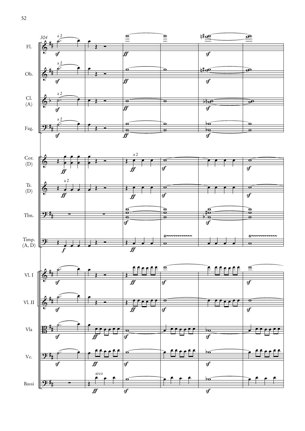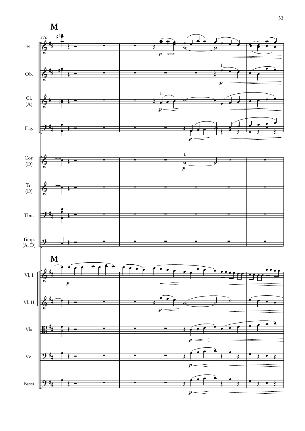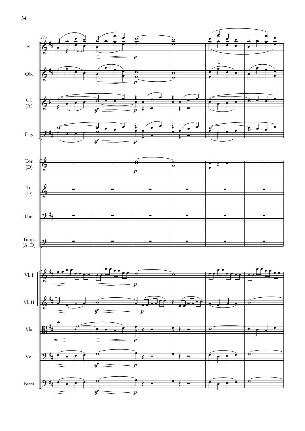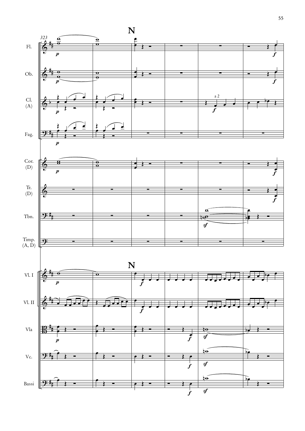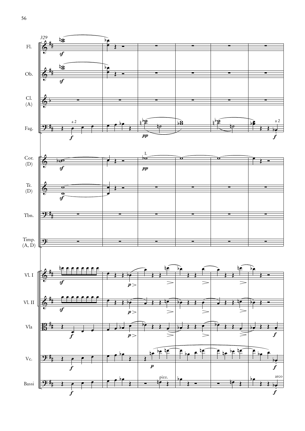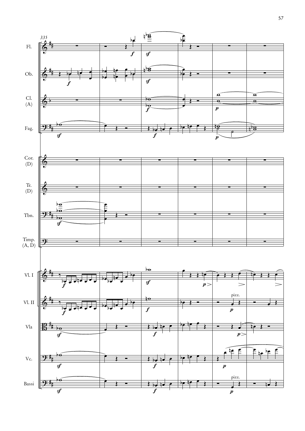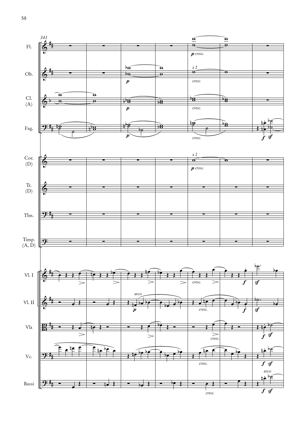![](_page_61_Figure_0.jpeg)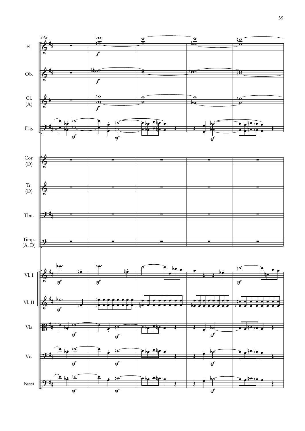![](_page_62_Figure_0.jpeg)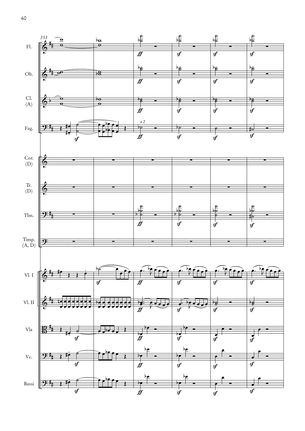![](_page_63_Figure_0.jpeg)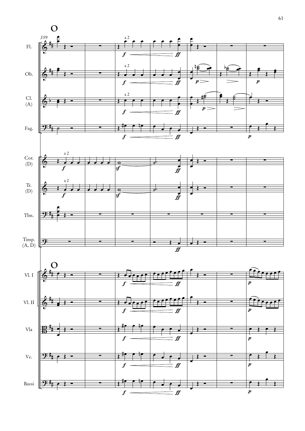![](_page_64_Figure_0.jpeg)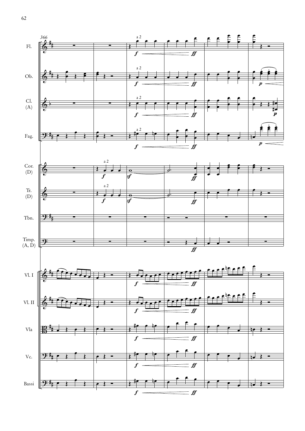![](_page_65_Figure_0.jpeg)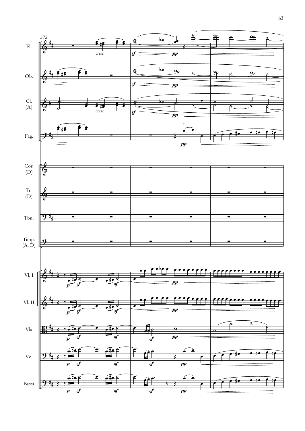![](_page_66_Figure_0.jpeg)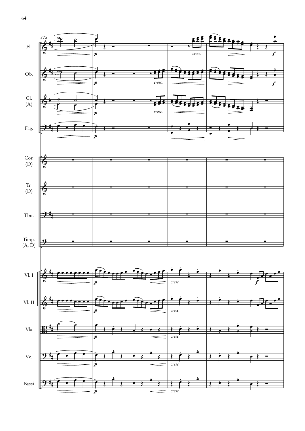![](_page_67_Figure_0.jpeg)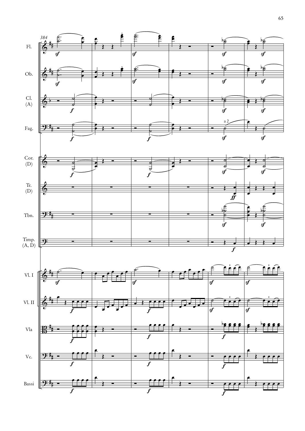![](_page_68_Figure_0.jpeg)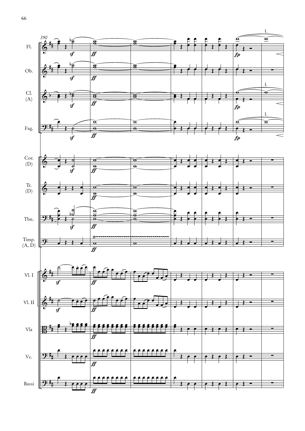![](_page_69_Figure_0.jpeg)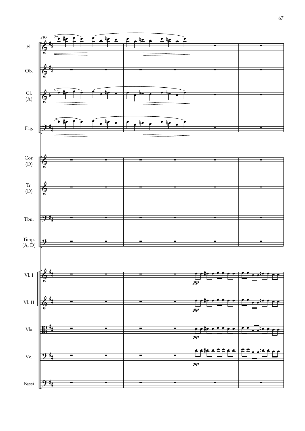![](_page_70_Figure_0.jpeg)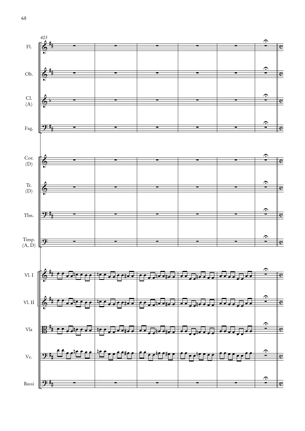![](_page_71_Figure_0.jpeg)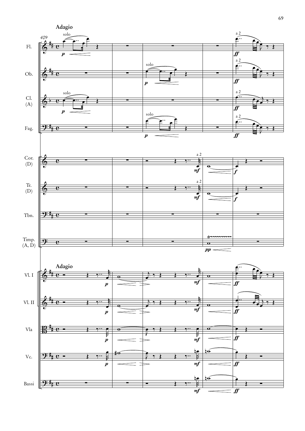

69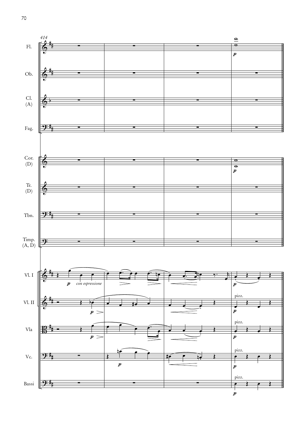

 $\boldsymbol{p}$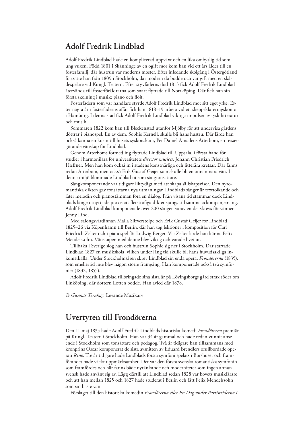### **Adolf Fredrik Lindblad**

Adolf Fredrik Lindblad hade en komplicerad uppväxt och en lika ombytlig tid som ung vuxen. Född 1801 i Skänninge av en ogift mor kom han vid ett års ålder till en fosterfamilj, där hustrun var moderns moster. Efter inledande skolgång i Östergötland fortsatte han från 1809 i Stockholm, där modern då bodde och var gift med en skådespelare vid Kungl. Teatern. Efter styvfaderns död 1813 fick Adolf Fredrik Lindblad återvända till fosterföräldrarna som snart flyttade till Norrköping. Där fick han sin första skolning i musik: piano och flöjt.

Fosterfadern som var handlare styrde Adolf Fredrik Lindblad mot sitt eget yrke. Efter några år i fosterfaderns affär fick han 1818–19 arbeta vid ett skeppsklareringskontor i Hamburg. I denna stad fick Adolf Fredrik Lindblad viktiga impulser av tysk litteratur och musik.

Sommaren 1822 kom han till Bleckenstad utanför Mjölby för att undervisa gårdens döttrar i pianospel. En av dem, Sophie Kernell, skulle bli hans hustru. Där lärde han också känna en kusin till husets syskonskara, Per Daniel Amadeus Atterbom, en livsavgörande vänskap för Lindblad.

Genom Atterboms förmedling flyttade Lindblad till Uppsala, i första hand för studier i harmonilära för universitetets *director musices*, Johann Christian Friedrich Hæffner. Men han kom också in i stadens konstnärliga och litterära kretsar. Där fanns redan Atterbom, men också Erik Gustaf Geijer som skulle bli en annan nära vän. I denna miljö blommade Lindblad ut som sångtonsättare.

Sångkomponerande var tidigare liktydigt med att skapa sällskapsvisor. Den nyromantiska dikten gav tonsättarna nya utmaningar. Lindblads sånger är texttolkande och låter melodin och pianostämman föra en dialog. Från visans tid stammar dock Lindblads länge utnyttjade praxis att flerstrofiga dikter sjungs till samma ackompanjemang. Adolf Fredrik Lindblad komponerade över 200 sånger, varav en del skrevs för vännen Jenny Lind.

Med salongsvärdinnan Malla Silfverstolpe och Erik Gustaf Geijer for Lindblad 1825–26 via Köpenhamn till Berlin, där han tog lektioner i komposition för Carl Friedrich Zelter och i pianospel för Ludwig Berger. Via Zelter lärde han känna Felix Mendelssohn. Vänskapen med denne blev viktig och varade livet ut.

Tillbaka i Sverige slog han och hustrun Sophie sig ner i Stockholm. Där startade Lindblad 1827 en musikskola, vilken under lång tid skulle bli hans huvudsakliga inkomstkälla. Under Stockholmsåren skrev Lindblad sin enda opera, *Frondörerna* (1835), som emellertid inte blev någon större framgång. Han komponerade också två symfonier (1832, 1855).

Adolf Fredrik Lindblad tillbringade sina sista år på Lövingsborgs gård strax söder om Linköping, där dottern Lotten bodde. Han avled där 1878.

© *Gunnar Ternhag,* Levande Musikarv

#### **Uvertyren till Frondörerna**

Den 11 maj 1835 hade Adolf Fredrik Lindblads historiska komedi *Frondörerna* premiär på Kungl. Teatern i Stockholm. Han var 34 år gammal och hade redan vunnit anseende i Stockholm som tonsättare och pedagog. Två år tidigare han tillsammans med kronprins Oscar komponerat de sista avsnitten av Eduard Brendlers ofullbordade operan *Ryno*. Tre år tidigare hade Lindblads första symfoni spelats i Börshuset och framförandet hade väckt uppmärksamhet. Det var den första svenska romantiska symfonin som framfördes och här fanns både nytänkande och moderniteter som ingen annan svensk hade använt sig av. Lägg därtill att Lindblad sedan 1828 var hovets musiklärare och att han mellan 1825 och 1827 hade studerat i Berlin och fått Felix Mendelssohn som sin bäste vän.

Förslaget till den historiska komedin *Frondörerna eller En Dag under Partistriderna i*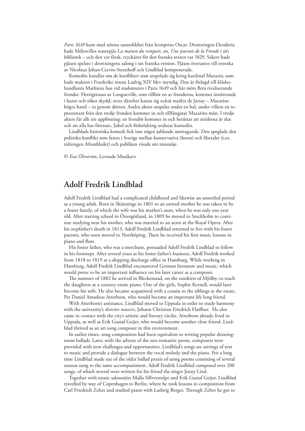*Paris 1649* kom med största sannolikhet från kronprins Oscar. Drottningen Desideria hade Mélesvilles teaterpjäs L*a maison du rempart, ou, Une journée de la Fronde* i sitt bibliotek – och den var färsk, tryckåret för den franska texten var 1829. Säkert hade pjäsen spelats i drottningens salong i sin franska version. Pjäsen översattes till svenska av Nicolaus Johan Cervin-Steenhoff och Lindblad komponerade.

Komedin handlar om de konflikter som utspelade sig kring kardinal Mazarin, som hade makten i Frankrike innan Ludvig XIV blev myndig. Den är förlagd till klädeshandlaren Mathieus hus vid stadsmuren i Paris 1649 och här möts flera rivaliserande fronder. Hertiginnan av Longueville, som tillhör en av fronderna, kommer instörtande i huset och söker skydd; strax därefter kastar sig också markis de Jarsay – Mazarins högra hand – in genom dörren. Andra akten utspelas under en bal, under vilken en representant från den tredje fronden kommer in och tillfångatar Mazarins män. I tredje akten får allt sin upplösning: en frondör kommer in och berättar att striderna är slut och att alla har förenats. Jubel och förbrödring avslutar komedin.

Lindblads historiska komedi fick inte något jublande mottagande. Den speglade den politiska konflikt som fanns i Sverige mellan konservativa (hovet) och liberaler (t.ex. tidningen Aftonbladet) och publiken visade sitt missnöje.

© *Eva Öhrström*, Levande Musikarv

#### **Adolf Fredrik Lindblad**

Adolf Fredrik Lindblad had a complicated childhood and likewise an unsettled period as a young adult. Born in Skänninge in 1801 to an unwed mother he was taken in by a foster family, of which the wife was his mother's aunt, when he was only one year old. After starting school in Östergötland, in 1809 he moved to Stockholm to continue studying near his mother, who was married to an actor at the Royal Opera. After his stepfather's death in 1813, Adolf Fredrik Lindblad returned to live with his foster parents, who soon moved to Norrköping. There he received his first music lessons in piano and flute.

His foster father, who was a merchant, persuaded Adolf Fredrik Lindblad to follow in his footsteps. After several years at his foster father's business, Adolf Fredrik worked from 1818 to 1819 at a shipping discharge office in Hamburg. While working in Hamburg, Adolf Fredrik Lindblad encountered German literature and music, which would prove to be an important influence on his later career as a composer.

The summer of 1882 he arrived in Bleckenstad, on the outskirts of Mjölby, to teach the daughters at a country estate piano. One of the girls, Sophie Kernell, would later become his wife. He also became acquainted with a cousin to the siblings at the estate, Per Daniel Amadeus Atterbom, who would become an important life long friend.

With Atterborn's assistance, Lindblad moved to Uppsala in order to study harmony with the university's *director musices*, Johann Christian Friedrich Hæffner. He also came in contact with the city's artistic and literary circles. Atterbom already lived in Uppsala, as well as Erik Gustaf Geijer, who would become another close friend. Lindblad thrived as an art song composer in this environment.

In earlier times, song composition had been equivalent to writing popular drawingroom ballads. Later, with the advent of the neo-romantic poem, composers were provided with new challenges and opportunities. Lindblad's songs are settings of text to music and provide a dialogue between the vocal melody and the piano. For a long time Lindblad made use of the older ballad praxis of using poems consisting of several stanzas sung to the same accompaniment. Adolf Fredrik Lindblad composed over 200 songs, of which several were written for his friend the singer Jenny Lind.

Together with music salonnière Malla Silfverstolpe and Erik Gustaf Geijer, Lindblad travelled by way of Copenhagen to Berlin, where he took lessons in composition from Carl Friedrich Zelter and studied piano with Ludwig Berger. Through Zelter he got to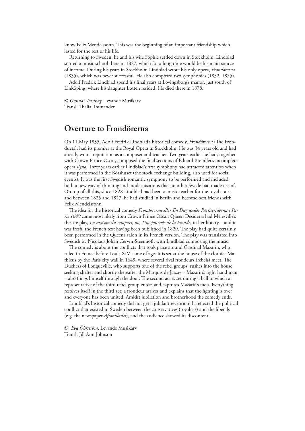know Felix Mendelssohn. This was the beginning of an important friendship which lasted for the rest of his life.

Returning to Sweden, he and his wife Sophie settled down in Stockholm. Lindblad started a music school there in 1827, which for a long time would be his main source of income. During his years in Stockholm Lindblad wrote his only opera, *Frondörerna*  (1835), which was never successful. He also composed two symphonies (1832, 1855).

Adolf Fredrik Lindblad spend his final years at Lövingsborg's manor, just south of Linköping, where his daughter Lotten resided. He died there in 1878.

© *Gunnar Ternhag,* Levande Musikarv Transl. Thalia Thunander

#### **Overture to Frondörerna**

On 11 May 1835, Adolf Fredrik Lindblad's historical comedy, *Frondörerna* (The Fronduers), had its premier at the Royal Opera in Stockholm. He was 34 years old and had already won a reputation as a composer and teacher. Two years earlier he had, together with Crown Prince Oscar, composed the final sections of Eduard Brendler's incomplete opera *Ryno*. Three years earlier Lindblad's first symphony had attracted attention when it was performed in the Börshuset (the stock exchange building, also used for social events). It was the first Swedish romantic symphony to be performed and included both a new way of thinking and modernisations that no other Swede had made use of. On top of all this, since 1828 Lindblad had been a music teacher for the royal court and between 1825 and 1827, he had studied in Berlin and become best friends with Felix Mendelssohn.

The idea for the historical comedy *Frondörerna eller En Dag under Partistriderna i Paris 1649* came most likely from Crown Prince Oscar. Queen Desideria had Mélesville's theatre play, *La maison du rempart, ou, Une journée de la Fronde*, in her library – and it was fresh, the French text having been published in 1829. The play had quite certainly been performed in the Queen's salon in its French version. The play was translated into Swedish by Nicolaus Johan Cervin-Steenhoff, with Lindblad composing the music.

The comedy is about the conflicts that took place around Cardinal Mazarin, who ruled in France before Louis XIV came of age. It is set at the house of the clothier Mathieus by the Paris city wall in 1649, where several rival frondeurs (rebels) meet. The Duchess of Longueville, who supports one of the rebel groups, rushes into the house seeking shelter and shortly thereafter the Marquis de Jarsay – Mazarin's right hand man – also flings himself through the door. The second act is set during a ball in which a representative of the third rebel group enters and captures Mazarin's men. Everything resolves itself in the third act: a frondeur arrives and explains that the fighting is over and everyone has been united. Amidst jubilation and brotherhood the comedy ends.

Lindblad's historical comedy did not get a jubilant reception. It reflected the political conflict that existed in Sweden between the conservatives (royalists) and the liberals (e.g. the newspaper *Aftonbladet*), and the audience showed its discontent.

© *Eva Öhrström*, Levande Musikarv Transl. Jill Ann Johnson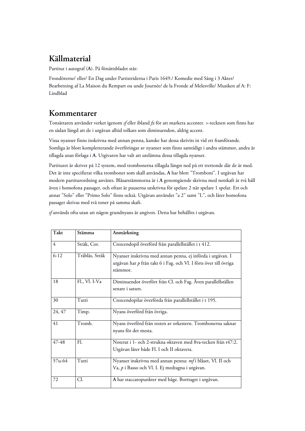# **Källmaterial**

Partitur i autograf (**A**). På försättsbladet står:

Frondörerne/ eller/ En Dag under Partistriderna i Paris 1649./ Komedie med Sång i 3 Akter/ Bearbetning af La Maison du Rempart ou unde Journée/ de la Fronde af Melesville/ Musiken af A: F: Lindblad

## **Kommentarer**

Tonsättaren använder verket igenom *sf* eller ibland *fz* för att markera accenter. >-tecknen som finns har en sådan längd att de i utgåvan alltid tolkats som diminuendon, aldrig accent.

Vissa nyanser finns inskrivna med annan penna, kanske har dessa skrivits in vid ett framförande. Somliga är blott kompletterande överföringar av nyanser som finns samtidigt i andra stämmor, andra är tillagda utan förlaga i **A**. Utgivaren har valt att utelämna dessa tillagda nyanser.

Partituret är skrivet på 12 system, med trombonerna tillagda längst ned på ett trettonde där de är med. Det är inte specifierat vilka tromboner som skall användas, **A** har blott "Tromboni". I utgåvan har modern partiturordning använts. Blåsarstämmorna är i **A** genomgående skrivna med notskaft åt två håll även i homofona passager, och oftast är pauserna utskrivna för spelare 2 när spelare 1 spelar. Ett och annat "Solo" eller "Primo Solo" finns också. Utgåvan använder "a 2" samt "I.", och låter homofona passager skrivas med två toner på samma skaft.

*sf* används ofta utan att någon grundnyans är angiven. Detta har behållits i utgåvan.

| Takt           | Stämma         | Anmärkning                                                                                                                                  |
|----------------|----------------|---------------------------------------------------------------------------------------------------------------------------------------------|
| $\overline{4}$ | Stråk, Cor.    | Crescendopil överförd från parallellstället i t 412.                                                                                        |
| $6 - 12$       | Träblås, Stråk | Nyanser inskrivna med annan penna, ej införda i utgåvan. I<br>utgåvan har p från takt 6 i Fag. och Vl. I förts över till övriga<br>stämmor. |
| 18             | Fl., Vl. I-Va  | Diminuendot överfört från Cl. och Fag. Även parallellställen<br>senare i satsen.                                                            |
| 30             | Tutti          | Crescendopilar överförda från parallellstället i t 195.                                                                                     |
| 24, 47         | Timp.          | Nyans överförd från övriga.                                                                                                                 |
| 41             | Tromb.         | Nyans överförd från resten av orkestern. Trombonerna saknar<br>nyans för det mesta.                                                         |
| 47-48          | F1.            | Noterat i 1- och 2-strukna oktaven med 8va-tecken från t47:2.<br>Utgåvan låter både Fl. I och II oktavera.                                  |
| $57u-64$       | Tutti          | Nyanser inskrivna med annan penna: mf i blåset, Vl. II och<br>Va, p i Basso och Vl. I. Ej medtagna i utgåvan.                               |
| 72             | Cl.            | A har staccatopunkter med båge. Borttaget i utgåvan.                                                                                        |